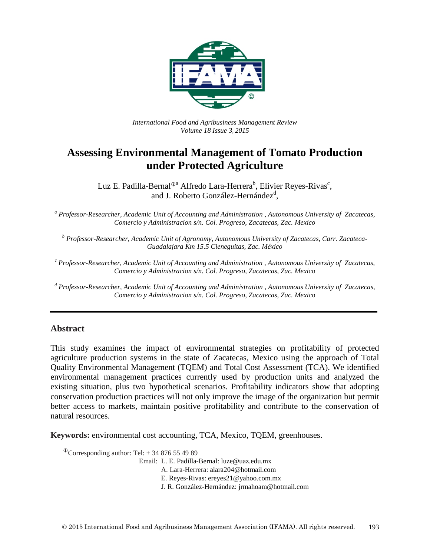

*International Food and Agribusiness Management Review Volume 18 Issue 3*, *2015*

# **Assessing Environmental Management of Tomato Production under Protected Agriculture**

Luz E. Padilla-Bernal $^{{\mathbb{O}}^{\rm a}}$  Alfredo Lara-Herrera $^{\rm b}$ , Elivier Reyes-Rivas<sup>c</sup>, and J. Roberto González-Hernández<sup>d</sup>,

*<sup>a</sup> Professor-Researcher, Academic Unit of Accounting and Administration , Autonomous University of Zacatecas, Comercio y Administracion s/n. Col. Progreso, Zacatecas, Zac. Mexico*

*<sup>b</sup> Professor-Researcher, Academic Unit of Agronomy, Autonomous University of Zacatecas, Carr. Zacateca-Guadalajara Km 15.5 Cieneguitas, Zac. México*

*<sup>c</sup> Professor-Researcher, Academic Unit of Accounting and Administration , Autonomous University of Zacatecas, Comercio y Administracion s/n. Col. Progreso, Zacatecas, Zac. Mexico*

*<sup>d</sup> Professor-Researcher, Academic Unit of Accounting and Administration , Autonomous University of Zacatecas, Comercio y Administracion s/n. Col. Progreso, Zacatecas, Zac. Mexico*

#### **Abstract**

This study examines the impact of environmental strategies on profitability of protected agriculture production systems in the state of Zacatecas, Mexico using the approach of Total Quality Environmental Management (TQEM) and Total Cost Assessment (TCA). We identified environmental management practices currently used by production units and analyzed the existing situation, plus two hypothetical scenarios. Profitability indicators show that adopting conservation production practices will not only improve the image of the organization but permit better access to markets, maintain positive profitability and contribute to the conservation of natural resources.

**Keywords:** environmental cost accounting, TCA, Mexico, TQEM, greenhouses.

 $^{\circ}$ Corresponding author: Tel: + 34 876 55 49 89

Email: L. E. Padilla-Bernal: luze@uaz.edu.mx

A. Lara-Herrera: alara204@hotmail.com

E. Reyes-Rivas: ereyes21@yahoo.com.mx

J. R. González-Hernández: jrmahoam@hotmail.com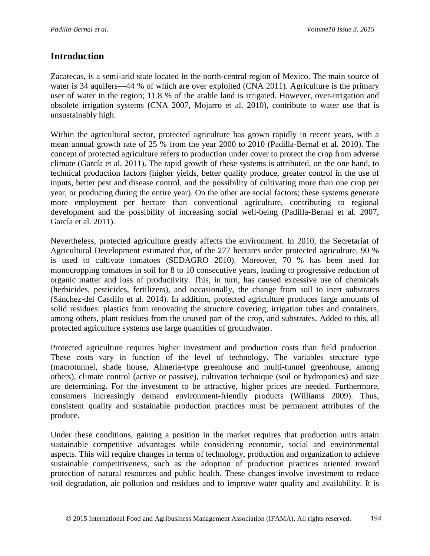### **Introduction**

Zacatecas, is a semi-arid state located in the north-central region of Mexico. The main source of water is 34 aquifers—44 % of which are over exploited (CNA 2011). Agriculture is the primary user of water in the region; 11.8 % of the arable land is irrigated. However, over-irrigation and obsolete irrigation systems (CNA 2007, Mojarro et al. 2010), contribute to water use that is unsustainably high.

Within the agricultural sector, protected agriculture has grown rapidly in recent years, with a mean annual growth rate of 25 % from the year 2000 to 2010 (Padilla-Bernal et al. 2010). The concept of protected agriculture refers to production under cover to protect the crop from adverse climate (García et al. 2011). The rapid growth of these systems is attributed, on the one hand, to technical production factors (higher yields, better quality produce, greater control in the use of inputs, better pest and disease control, and the possibility of cultivating more than one crop per year, or producing during the entire year). On the other are social factors; these systems generate more employment per hectare than conventional agriculture, contributing to regional development and the possibility of increasing social well-being (Padilla-Bernal et al. 2007, García et al. 2011).

Nevertheless, protected agriculture greatly affects the environment. In 2010, the Secretariat of Agricultural Development estimated that, of the 277 hectares under protected agriculture, 90 % is used to cultivate tomatoes (SEDAGRO 2010). Moreover, 70 % has been used for monocropping tomatoes in soil for 8 to 10 consecutive years, leading to progressive reduction of organic matter and loss of productivity. This, in turn, has caused excessive use of chemicals (herbicides, pesticides, fertilizers), and occasionally, the change from soil to inert substrates (Sánchez-del Castillo et al. 2014). In addition, protected agriculture produces large amounts of solid residues: plastics from renovating the structure covering, irrigation tubes and containers, among others, plant residues from the unused part of the crop, and substrates. Added to this, all protected agriculture systems use large quantities of groundwater.

Protected agriculture requires higher investment and production costs than field production. These costs vary in function of the level of technology. The variables structure type (macrotunnel, shade house, Almería-type greenhouse and multi-tunnel greenhouse, among others), climate control (active or passive), cultivation technique (soil or hydroponics) and size are determining. For the investment to be attractive, higher prices are needed. Furthermore, consumers increasingly demand environment-friendly products (Williams 2009). Thus, consistent quality and sustainable production practices must be permanent attributes of the produce.

Under these conditions, gaining a position in the market requires that production units attain sustainable competitive advantages while considering economic, social and environmental aspects. This will require changes in terms of technology, production and organization to achieve sustainable competitiveness, such as the adoption of production practices oriented toward protection of natural resources and public health. These changes involve investment to reduce soil degradation, air pollution and residues and to improve water quality and availability. It is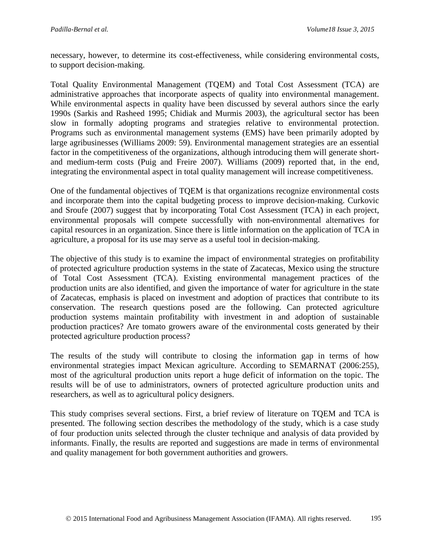necessary, however, to determine its cost-effectiveness, while considering environmental costs, to support decision-making.

Total Quality Environmental Management (TQEM) and Total Cost Assessment (TCA) are administrative approaches that incorporate aspects of quality into environmental management. While environmental aspects in quality have been discussed by several authors since the early 1990s (Sarkis and Rasheed 1995; Chidiak and Murmis 2003), the agricultural sector has been slow in formally adopting programs and strategies relative to environmental protection. Programs such as environmental management systems (EMS) have been primarily adopted by large agribusinesses (Williams 2009: 59). Environmental management strategies are an essential factor in the competitiveness of the organizations, although introducing them will generate shortand medium-term costs (Puig and Freire 2007). Williams (2009) reported that, in the end, integrating the environmental aspect in total quality management will increase competitiveness.

One of the fundamental objectives of TQEM is that organizations recognize environmental costs and incorporate them into the capital budgeting process to improve decision-making. Curkovic and Sroufe (2007) suggest that by incorporating Total Cost Assessment (TCA) in each project, environmental proposals will compete successfully with non-environmental alternatives for capital resources in an organization. Since there is little information on the application of TCA in agriculture, a proposal for its use may serve as a useful tool in decision-making.

The objective of this study is to examine the impact of environmental strategies on profitability of protected agriculture production systems in the state of Zacatecas, Mexico using the structure of Total Cost Assessment (TCA). Existing environmental management practices of the production units are also identified, and given the importance of water for agriculture in the state of Zacatecas, emphasis is placed on investment and adoption of practices that contribute to its conservation. The research questions posed are the following. Can protected agriculture production systems maintain profitability with investment in and adoption of sustainable production practices? Are tomato growers aware of the environmental costs generated by their protected agriculture production process?

The results of the study will contribute to closing the information gap in terms of how environmental strategies impact Mexican agriculture. According to SEMARNAT (2006:255), most of the agricultural production units report a huge deficit of information on the topic. The results will be of use to administrators, owners of protected agriculture production units and researchers, as well as to agricultural policy designers.

This study comprises several sections. First, a brief review of literature on TQEM and TCA is presented. The following section describes the methodology of the study, which is a case study of four production units selected through the cluster technique and analysis of data provided by informants. Finally, the results are reported and suggestions are made in terms of environmental and quality management for both government authorities and growers.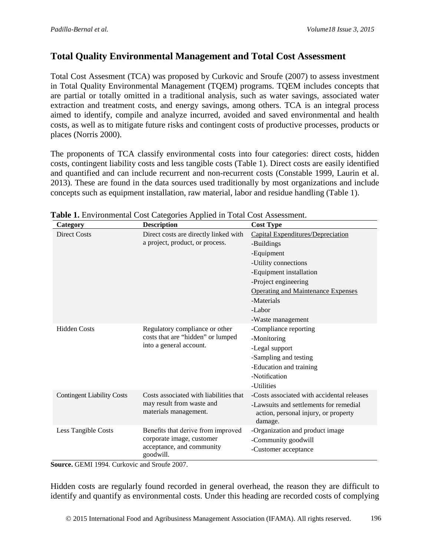## **Total Quality Environmental Management and Total Cost Assessment**

Total Cost Assesment (TCA) was proposed by Curkovic and Sroufe (2007) to assess investment in Total Quality Environmental Management (TQEM) programs. TQEM includes concepts that are partial or totally omitted in a traditional analysis, such as water savings, associated water extraction and treatment costs, and energy savings, among others. TCA is an integral process aimed to identify, compile and analyze incurred, avoided and saved environmental and health costs, as well as to mitigate future risks and contingent costs of productive processes, products or places (Norris 2000).

The proponents of TCA classify environmental costs into four categories: direct costs, hidden costs, contingent liability costs and less tangible costs (Table 1). Direct costs are easily identified and quantified and can include recurrent and non-recurrent costs (Constable 1999, Laurin et al. 2013). These are found in the data sources used traditionally by most organizations and include concepts such as equipment installation, raw material, labor and residue handling (Table 1).

| Category                          | <b>Description</b>                                 | <b>Cost Type</b>                                                                          |
|-----------------------------------|----------------------------------------------------|-------------------------------------------------------------------------------------------|
| <b>Direct Costs</b>               | Direct costs are directly linked with              | <b>Capital Expenditures/Depreciation</b>                                                  |
|                                   | a project, product, or process.                    | -Buildings                                                                                |
|                                   |                                                    | -Equipment                                                                                |
|                                   |                                                    | -Utility connections                                                                      |
|                                   |                                                    | -Equipment installation                                                                   |
|                                   |                                                    | -Project engineering                                                                      |
|                                   |                                                    | <b>Operating and Maintenance Expenses</b>                                                 |
|                                   |                                                    | -Materials                                                                                |
|                                   |                                                    | -Labor                                                                                    |
|                                   |                                                    | -Waste management                                                                         |
| <b>Hidden Costs</b>               | Regulatory compliance or other                     | -Compliance reporting                                                                     |
|                                   | costs that are "hidden" or lumped                  | -Monitoring                                                                               |
|                                   | into a general account.                            | -Legal support                                                                            |
|                                   |                                                    | -Sampling and testing                                                                     |
|                                   |                                                    | -Education and training                                                                   |
|                                   |                                                    | -Notification                                                                             |
|                                   |                                                    | -Utilities                                                                                |
| <b>Contingent Liability Costs</b> | Costs associated with liabilities that             | -Costs associated with accidental releases                                                |
|                                   | may result from waste and<br>materials management. | -Lawsuits and settlements for remedial<br>action, personal injury, or property<br>damage. |
| Less Tangible Costs               | Benefits that derive from improved                 | -Organization and product image                                                           |
|                                   | corporate image, customer                          | -Community goodwill                                                                       |
|                                   | acceptance, and community<br>goodwill.             | -Customer acceptance                                                                      |

**Table 1.** Environmental Cost Categories Applied in Total Cost Assessment.

**Source.** GEMI 1994. Curkovic and Sroufe 2007.

Hidden costs are regularly found recorded in general overhead, the reason they are difficult to identify and quantify as environmental costs. Under this heading are recorded costs of complying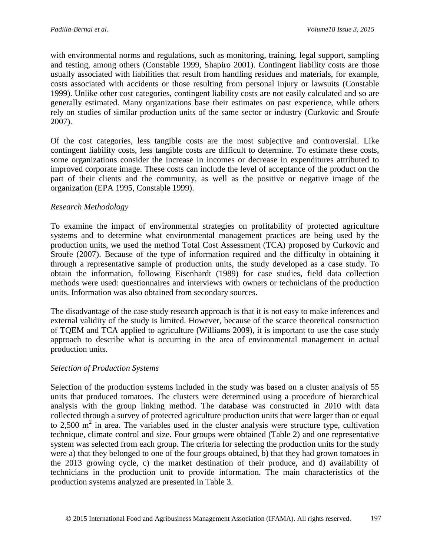with environmental norms and regulations, such as monitoring, training, legal support, sampling and testing, among others (Constable 1999, Shapiro 2001). Contingent liability costs are those usually associated with liabilities that result from handling residues and materials, for example, costs associated with accidents or those resulting from personal injury or lawsuits (Constable 1999). Unlike other cost categories, contingent liability costs are not easily calculated and so are generally estimated. Many organizations base their estimates on past experience, while others rely on studies of similar production units of the same sector or industry (Curkovic and Sroufe 2007).

Of the cost categories, less tangible costs are the most subjective and controversial. Like contingent liability costs, less tangible costs are difficult to determine. To estimate these costs, some organizations consider the increase in incomes or decrease in expenditures attributed to improved corporate image. These costs can include the level of acceptance of the product on the part of their clients and the community, as well as the positive or negative image of the organization (EPA 1995, Constable 1999).

#### *Research Methodology*

To examine the impact of environmental strategies on profitability of protected agriculture systems and to determine what environmental management practices are being used by the production units, we used the method Total Cost Assessment (TCA) proposed by Curkovic and Sroufe (2007). Because of the type of information required and the difficulty in obtaining it through a representative sample of production units, the study developed as a case study. To obtain the information, following Eisenhardt (1989) for case studies, field data collection methods were used: questionnaires and interviews with owners or technicians of the production units. Information was also obtained from secondary sources.

The disadvantage of the case study research approach is that it is not easy to make inferences and external validity of the study is limited. However, because of the scarce theoretical construction of TQEM and TCA applied to agriculture (Williams 2009), it is important to use the case study approach to describe what is occurring in the area of environmental management in actual production units.

#### *Selection of Production Systems*

Selection of the production systems included in the study was based on a cluster analysis of 55 units that produced tomatoes. The clusters were determined using a procedure of hierarchical analysis with the group linking method. The database was constructed in 2010 with data collected through a survey of protected agriculture production units that were larger than or equal to 2,500  $m<sup>2</sup>$  in area. The variables used in the cluster analysis were structure type, cultivation technique, climate control and size. Four groups were obtained (Table 2) and one representative system was selected from each group. The criteria for selecting the production units for the study were a) that they belonged to one of the four groups obtained, b) that they had grown tomatoes in the 2013 growing cycle, c) the market destination of their produce, and d) availability of technicians in the production unit to provide information. The main characteristics of the production systems analyzed are presented in Table 3.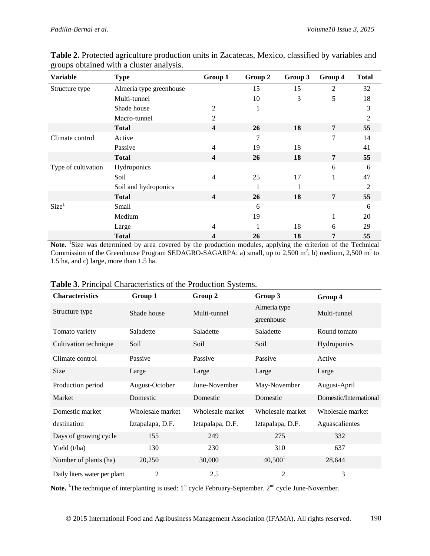| <b>Variable</b>     | <b>Type</b>             | Group 1                 | Group 2   | Group 3 | Group 4 | <b>Total</b> |
|---------------------|-------------------------|-------------------------|-----------|---------|---------|--------------|
| Structure type      | Almería type greenhouse |                         | 15        | 15      | 2       | 32           |
|                     | Multi-tunnel            |                         | 10        | 3       | 5       | 18           |
|                     | Shade house             | 2                       |           |         |         | 3            |
|                     | Macro-tunnel            | 2                       |           |         |         | 2            |
|                     | <b>Total</b>            | $\overline{\mathbf{4}}$ | 26        | 18      | 7       | 55           |
| Climate control     | Active                  |                         | 7         |         | 7       | 14           |
|                     | Passive                 | $\overline{4}$          | 19        | 18      |         | 41           |
|                     | <b>Total</b>            | $\overline{\mathbf{4}}$ | 26        | 18      | 7       | 55           |
| Type of cultivation | Hydroponics             |                         |           |         | 6       | 6            |
|                     | Soil                    | $\overline{4}$          | 25        | 17      | 1       | 47           |
|                     | Soil and hydroponics    |                         |           |         |         | 2            |
|                     | <b>Total</b>            | $\overline{\mathbf{4}}$ | <b>26</b> | 18      | 7       | 55           |
| Size <sup>1</sup>   | Small                   |                         | 6         |         |         | 6            |
|                     | Medium                  |                         | 19        |         | 1       | 20           |
|                     | Large                   | 4                       |           | 18      | 6       | 29           |
|                     | <b>Total</b>            | 4                       | 26        | 18      | 7       | 55           |

**Table 2.** Protected agriculture production units in Zacatecas, Mexico, classified by variables and groups obtained with a cluster analysis.

Note. <sup>1</sup>Size was determined by area covered by the production modules, applying the criterion of the Technical Commission of the Greenhouse Program SEDAGRO-SAGARPA: a) small, up to 2,500  $m^2$ ; b) medium, 2,500  $m^2$  to 1.5 ha, and c) large, more than 1.5 ha.

| <b>Characteristics</b>       | Group 1          | Group 2          | Group 3             | Group 4                |
|------------------------------|------------------|------------------|---------------------|------------------------|
| Structure type               | Shade house      | Multi-tunnel     | Almeria type        | Multi-tunnel           |
|                              |                  |                  | greenhouse          |                        |
| Tomato variety               | Saladette        | Saladette        | Saladette           | Round tomato           |
| Cultivation technique        | Soil             | Soil             | Soil                | Hydroponics            |
| Climate control              | Passive          | Passive          | Passive             | Active                 |
| Size                         | Large            | Large            | Large               | Large                  |
| Production period            | August-October   | June-November    | May-November        | August-April           |
| Market                       | Domestic         | Domestic         | Domestic            | Domestic/International |
| Domestic market              | Wholesale market | Wholesale market | Wholesale market    | Wholesale market       |
| destination                  | Iztapalapa, D.F. | Iztapalapa, D.F. | Iztapalapa, D.F.    | Aguascalientes         |
| Days of growing cycle        | 155              | 249              | 275                 | 332                    |
| Yield $(t/ha)$               | 130              | 230              | 310                 | 637                    |
| Number of plants (ha)        | 20,250           | 30,000           | 40,500 <sup>1</sup> | 28,644                 |
| Daily liters water per plant | $\overline{c}$   | 2.5              | $\overline{2}$      | 3                      |

| Table 3. Principal Characteristics of the Production Systems. |  |  |  |  |
|---------------------------------------------------------------|--|--|--|--|
|---------------------------------------------------------------|--|--|--|--|

Note. <sup>1</sup>The technique of interplanting is used: 1<sup>st</sup> cycle February-September. 2<sup>nd</sup> cycle June-November.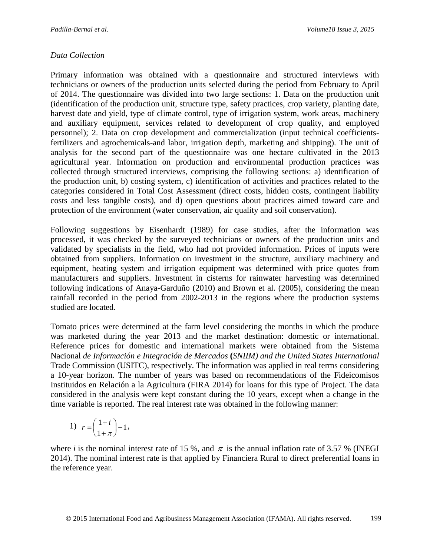#### *Data Collection*

Primary information was obtained with a questionnaire and structured interviews with technicians or owners of the production units selected during the period from February to April of 2014. The questionnaire was divided into two large sections: 1. Data on the production unit (identification of the production unit, structure type, safety practices, crop variety, planting date, harvest date and yield, type of climate control, type of irrigation system, work areas, machinery and auxiliary equipment, services related to development of crop quality, and employed personnel); 2. Data on crop development and commercialization (input technical coefficientsfertilizers and agrochemicals-and labor, irrigation depth, marketing and shipping). The unit of analysis for the second part of the questionnaire was one hectare cultivated in the 2013 agricultural year. Information on production and environmental production practices was collected through structured interviews, comprising the following sections: a) identification of the production unit, b) costing system, c) identification of activities and practices related to the categories considered in Total Cost Assessment (direct costs, hidden costs, contingent liability costs and less tangible costs), and d) open questions about practices aimed toward care and protection of the environment (water conservation, air quality and soil conservation).

Following suggestions by Eisenhardt (1989) for case studies, after the information was processed, it was checked by the surveyed technicians or owners of the production units and validated by specialists in the field, who had not provided information. Prices of inputs were obtained from suppliers. Information on investment in the structure, auxiliary machinery and equipment, heating system and irrigation equipment was determined with price quotes from manufacturers and suppliers. Investment in cisterns for rainwater harvesting was determined following indications of Anaya-Garduño (2010) and Brown et al. (2005), considering the mean rainfall recorded in the period from 2002-2013 in the regions where the production systems studied are located.

Tomato prices were determined at the farm level considering the months in which the produce was marketed during the year 2013 and the market destination: domestic or international. Reference prices for domestic and international markets were obtained from the Sistema Nacional *de Información e Integración de Mercados* **(***SNIIM) and the United States International*  Trade Commission (USITC), respectively. The information was applied in real terms considering a 10-year horizon. The number of years was based on recommendations of the Fideicomisos Instituidos en Relación a la Agricultura (FIRA 2014) for loans for this type of Project. The data considered in the analysis were kept constant during the 10 years, except when a change in the time variable is reported. The real interest rate was obtained in the following manner:

$$
1) \quad r = \left(\frac{1+i}{1+\pi}\right) - 1,
$$

where *i* is the nominal interest rate of 15 %, and  $\pi$  is the annual inflation rate of 3.57 % (INEGI 2014). The nominal interest rate is that applied by Financiera Rural to direct preferential loans in the reference year.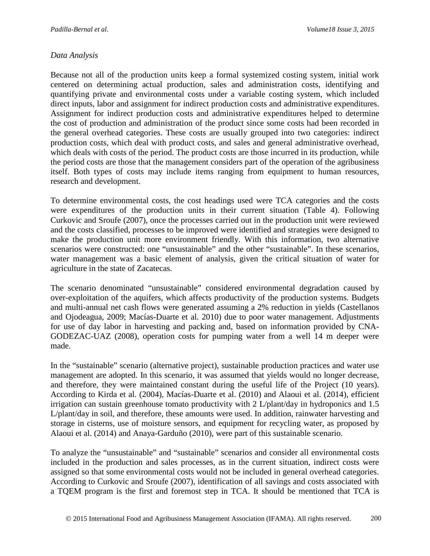#### *Data Analysis*

Because not all of the production units keep a formal systemized costing system, initial work centered on determining actual production, sales and administration costs, identifying and quantifying private and environmental costs under a variable costing system, which included direct inputs, labor and assignment for indirect production costs and administrative expenditures. Assignment for indirect production costs and administrative expenditures helped to determine the cost of production and administration of the product since some costs had been recorded in the general overhead categories. These costs are usually grouped into two categories: indirect production costs, which deal with product costs, and sales and general administrative overhead, which deals with costs of the period. The product costs are those incurred in its production, while the period costs are those that the management considers part of the operation of the agribusiness itself. Both types of costs may include items ranging from equipment to human resources, research and development.

To determine environmental costs, the cost headings used were TCA categories and the costs were expenditures of the production units in their current situation (Table 4). Following Curkovic and Sroufe (2007), once the processes carried out in the production unit were reviewed and the costs classified, processes to be improved were identified and strategies were designed to make the production unit more environment friendly. With this information, two alternative scenarios were constructed: one "unsustainable" and the other "sustainable". In these scenarios, water management was a basic element of analysis, given the critical situation of water for agriculture in the state of Zacatecas.

The scenario denominated "unsustainable" considered environmental degradation caused by over-exploitation of the aquifers, which affects productivity of the production systems. Budgets and multi-annual net cash flows were generated assuming a 2% reduction in yields (Castellanos and Ojodeagua, 2009; Macías-Duarte et al. 2010) due to poor water management. Adjustments for use of day labor in harvesting and packing and, based on information provided by CNA-GODEZAC-UAZ (2008), operation costs for pumping water from a well 14 m deeper were made.

In the "sustainable" scenario (alternative project), sustainable production practices and water use management are adopted. In this scenario, it was assumed that yields would no longer decrease, and therefore, they were maintained constant during the useful life of the Project (10 years). According to Kirda et al. (2004), Macías-Duarte et al. (2010) and Alaoui et al. (2014), efficient irrigation can sustain greenhouse tomato productivity with 2 L/plant/day in hydroponics and 1.5 L/plant/day in soil, and therefore, these amounts were used. In addition, rainwater harvesting and storage in cisterns, use of moisture sensors, and equipment for recycling water, as proposed by Alaoui et al. (2014) and Anaya-Garduño (2010), were part of this sustainable scenario.

To analyze the "unsustainable" and "sustainable" scenarios and consider all environmental costs included in the production and sales processes, as in the current situation, indirect costs were assigned so that some environmental costs would not be included in general overhead categories. According to Curkovic and Sroufe (2007), identification of all savings and costs associated with a TQEM program is the first and foremost step in TCA. It should be mentioned that TCA is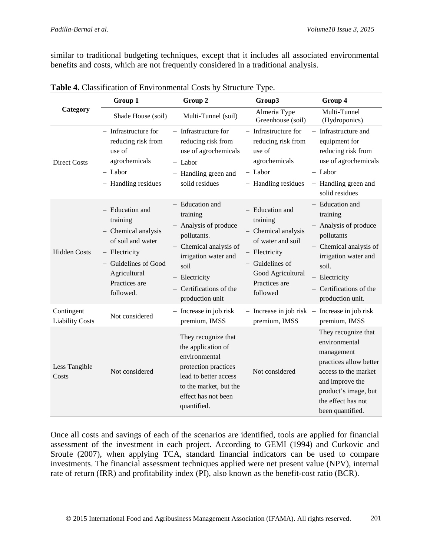similar to traditional budgeting techniques, except that it includes all associated environmental benefits and costs, which are not frequently considered in a traditional analysis.

|                                      | Group 1                                                                                                                                                        | Group 2                                                                                                                                                                                | Group3                                                                                                                                                        | Group 4                                                                                                                                                                                     |
|--------------------------------------|----------------------------------------------------------------------------------------------------------------------------------------------------------------|----------------------------------------------------------------------------------------------------------------------------------------------------------------------------------------|---------------------------------------------------------------------------------------------------------------------------------------------------------------|---------------------------------------------------------------------------------------------------------------------------------------------------------------------------------------------|
| Category                             | Shade House (soil)                                                                                                                                             | Multi-Tunnel (soil)                                                                                                                                                                    | Almeria Type<br>Greenhouse (soil)                                                                                                                             | Multi-Tunnel<br>(Hydroponics)                                                                                                                                                               |
| <b>Direct Costs</b>                  | - Infrastructure for<br>reducing risk from<br>use of<br>agrochemicals<br>- Labor<br>- Handling residues                                                        | - Infrastructure for<br>reducing risk from<br>use of agrochemicals<br>- Labor<br>- Handling green and<br>solid residues                                                                | - Infrastructure for<br>reducing risk from<br>use of<br>agrochemicals<br>- Labor<br>- Handling residues                                                       | Infrastructure and<br>equipment for<br>reducing risk from<br>use of agrochemicals<br>$-$ Labor<br>- Handling green and<br>solid residues                                                    |
| <b>Hidden Costs</b>                  | - Education and<br>training<br>- Chemical analysis<br>of soil and water<br>- Electricity<br>- Guidelines of Good<br>Agricultural<br>Practices are<br>followed. | - Education and<br>training<br>Analysis of produce<br>pollutants.<br>Chemical analysis of<br>irrigation water and<br>soil<br>- Electricity<br>Certifications of the<br>production unit | - Education and<br>training<br>- Chemical analysis<br>of water and soil<br>- Electricity<br>- Guidelines of<br>Good Agricultural<br>Practices are<br>followed | - Education and<br>training<br>- Analysis of produce<br>pollutants<br>- Chemical analysis of<br>irrigation water and<br>soil.<br>- Electricity<br>Certifications of the<br>production unit. |
| Contingent<br><b>Liability Costs</b> | Not considered                                                                                                                                                 | - Increase in job risk<br>premium, IMSS                                                                                                                                                | premium, IMSS                                                                                                                                                 | - Increase in job risk - Increase in job risk<br>premium, IMSS                                                                                                                              |
| Less Tangible<br>Costs               | Not considered                                                                                                                                                 | They recognize that<br>the application of<br>environmental<br>protection practices<br>lead to better access<br>to the market, but the<br>effect has not been<br>quantified.            | Not considered                                                                                                                                                | They recognize that<br>environmental<br>management<br>practices allow better<br>access to the market<br>and improve the<br>product's image, but<br>the effect has not<br>been quantified.   |

**Table 4.** Classification of Environmental Costs by Structure Type.

Once all costs and savings of each of the scenarios are identified, tools are applied for financial assessment of the investment in each project. According to GEMI (1994) and Curkovic and Sroufe (2007), when applying TCA, standard financial indicators can be used to compare investments. The financial assessment techniques applied were net present value (NPV), internal rate of return (IRR) and profitability index (PI), also known as the benefit-cost ratio (BCR).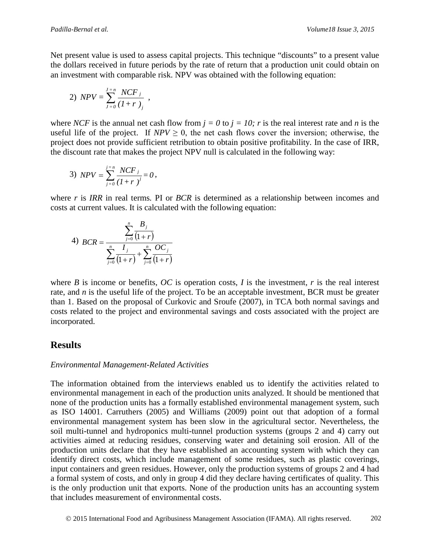Net present value is used to assess capital projects. This technique "discounts" to a present value the dollars received in future periods by the rate of return that a production unit could obtain on an investment with comparable risk. NPV was obtained with the following equation:

2) 
$$
NPV = \sum_{J=0}^{J=n} \frac{NCF_j}{(1+r)_j}
$$
,

where *NCF* is the annual net cash flow from  $j = 0$  to  $j = 10$ ; r is the real interest rate and n is the useful life of the project. If  $NPV > 0$ , the net cash flows cover the inversion; otherwise, the project does not provide sufficient retribution to obtain positive profitability. In the case of IRR, the discount rate that makes the project NPV null is calculated in the following way:

3) 
$$
NPV = \sum_{j=0}^{j=n} \frac{NCF_j}{(1+r)^j} = 0
$$
,

where *r* is *IRR* in real terms*.* PI or *BCR* is determined as a relationship between incomes and costs at current values. It is calculated with the following equation:

4) 
$$
BCR = \frac{\sum_{j=0}^{n} \frac{B_j}{(1+r)}}{\sum_{j=0}^{n} \frac{I_j}{(1+r)} + \sum_{j=0}^{n} \frac{OC_j}{(1+r)}}
$$

where *B* is income or benefits,  $OC$  is operation costs, *I* is the investment, *r* is the real interest rate, and *n* is the useful life of the project. To be an acceptable investment, BCR must be greater than 1. Based on the proposal of Curkovic and Sroufe (2007), in TCA both normal savings and costs related to the project and environmental savings and costs associated with the project are incorporated.

### **Results**

#### *Environmental Management-Related Activities*

The information obtained from the interviews enabled us to identify the activities related to environmental management in each of the production units analyzed. It should be mentioned that none of the production units has a formally established environmental management system, such as ISO 14001. Carruthers (2005) and Williams (2009) point out that adoption of a formal environmental management system has been slow in the agricultural sector. Nevertheless, the soil multi-tunnel and hydroponics multi-tunnel production systems (groups 2 and 4) carry out activities aimed at reducing residues, conserving water and detaining soil erosion. All of the production units declare that they have established an accounting system with which they can identify direct costs, which include management of some residues, such as plastic coverings, input containers and green residues. However, only the production systems of groups 2 and 4 had a formal system of costs, and only in group 4 did they declare having certificates of quality. This is the only production unit that exports. None of the production units has an accounting system that includes measurement of environmental costs.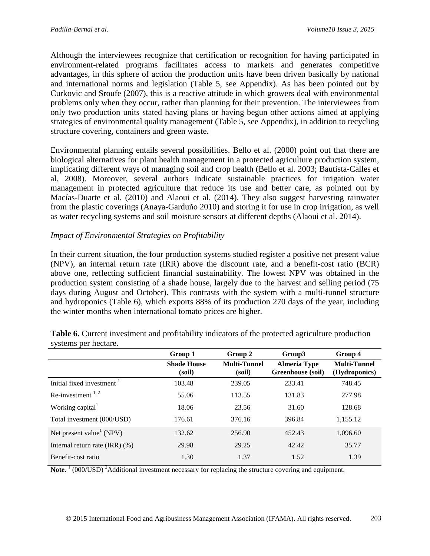Although the interviewees recognize that certification or recognition for having participated in environment-related programs facilitates access to markets and generates competitive advantages, in this sphere of action the production units have been driven basically by national and international norms and legislation (Table 5, see Appendix). As has been pointed out by Curkovic and Sroufe (2007), this is a reactive attitude in which growers deal with environmental problems only when they occur, rather than planning for their prevention. The interviewees from only two production units stated having plans or having begun other actions aimed at applying strategies of environmental quality management (Table 5, see Appendix), in addition to recycling structure covering, containers and green waste.

Environmental planning entails several possibilities. Bello et al. (2000) point out that there are biological alternatives for plant health management in a protected agriculture production system, implicating different ways of managing soil and crop health (Bello et al. 2003; Bautista-Calles et al. 2008). Moreover, several authors indicate sustainable practices for irrigation water management in protected agriculture that reduce its use and better care, as pointed out by Macías-Duarte et al. (2010) and Alaoui et al. (2014). They also suggest harvesting rainwater from the plastic coverings (Anaya-Garduño 2010) and storing it for use in crop irrigation, as well as water recycling systems and soil moisture sensors at different depths (Alaoui et al. 2014).

#### *Impact of Environmental Strategies on Profitability*

In their current situation, the four production systems studied register a positive net present value (NPV), an internal return rate (IRR) above the discount rate, and a benefit-cost ratio (BCR) above one, reflecting sufficient financial sustainability. The lowest NPV was obtained in the production system consisting of a shade house, largely due to the harvest and selling period (75 days during August and October). This contrasts with the system with a multi-tunnel structure and hydroponics (Table 6), which exports 88% of its production 270 days of the year, including the winter months when international tomato prices are higher.

|                                                                | Group 1                      | Group 2                       | Group3                                   | Group 4                              |
|----------------------------------------------------------------|------------------------------|-------------------------------|------------------------------------------|--------------------------------------|
|                                                                | <b>Shade House</b><br>(soil) | <b>Multi-Tunnel</b><br>(soil) | <b>Almeria Type</b><br>Greenhouse (soil) | <b>Multi-Tunnel</b><br>(Hydroponics) |
| Initial fixed investment <sup>1</sup>                          | 103.48                       | 239.05                        | 233.41                                   | 748.45                               |
| Re-investment $1, 2$                                           | 55.06                        | 113.55                        | 131.83                                   | 277.98                               |
| Working capital <sup>1</sup>                                   | 18.06                        | 23.56                         | 31.60                                    | 128.68                               |
| Total investment (000/USD)                                     | 176.61                       | 376.16                        | 396.84                                   | 1,155.12                             |
| Net present value <sup>1</sup> (NPV)                           | 132.62                       | 256.90                        | 452.43                                   | 1,096.60                             |
| Internal return rate $\left(\text{IRR}\right)\left(\% \right)$ | 29.98                        | 29.25                         | 42.42                                    | 35.77                                |
| Benefit-cost ratio                                             | 1.30                         | 1.37                          | 1.52                                     | 1.39                                 |

**Table 6.** Current investment and profitability indicators of the protected agriculture production systems per hectare.

**Note.** <sup>1</sup> (000/USD) <sup>2</sup>Additional investment necessary for replacing the structure covering and equipment.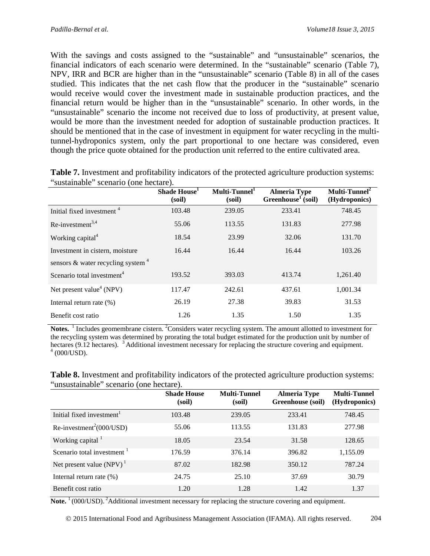With the savings and costs assigned to the "sustainable" and "unsustainable" scenarios, the financial indicators of each scenario were determined. In the "sustainable" scenario (Table 7), NPV, IRR and BCR are higher than in the "unsustainable" scenario (Table 8) in all of the cases studied. This indicates that the net cash flow that the producer in the "sustainable" scenario would receive would cover the investment made in sustainable production practices, and the financial return would be higher than in the "unsustainable" scenario. In other words, in the "unsustainable" scenario the income not received due to loss of productivity, at present value, would be more than the investment needed for adoption of sustainable production practices. It should be mentioned that in the case of investment in equipment for water recycling in the multitunnel-hydroponics system, only the part proportional to one hectare was considered, even though the price quote obtained for the production unit referred to the entire cultivated area.

|                                        | Shade House <sup>1</sup><br>(soil) | Multi-Tunnel <sup>1</sup><br>(soil) | <b>Almeria Type</b><br>Greenhouse <sup>1</sup> (soil) | Multi-Tunnel <sup>2</sup><br>(Hydroponics) |
|----------------------------------------|------------------------------------|-------------------------------------|-------------------------------------------------------|--------------------------------------------|
| Initial fixed investment <sup>4</sup>  | 103.48                             | 239.05                              | 233.41                                                | 748.45                                     |
| Re-investment <sup>3,4</sup>           | 55.06                              | 113.55                              | 131.83                                                | 277.98                                     |
| Working capital <sup>4</sup>           | 18.54                              | 23.99                               | 32.06                                                 | 131.70                                     |
| Investment in cistern, moisture        | 16.44                              | 16.44                               | 16.44                                                 | 103.26                                     |
| sensors & water recycling system $4$   |                                    |                                     |                                                       |                                            |
| Scenario total investment <sup>4</sup> | 193.52                             | 393.03                              | 413.74                                                | 1,261.40                                   |
| Net present value <sup>4</sup> (NPV)   | 117.47                             | 242.61                              | 437.61                                                | 1,001.34                                   |
| Internal return rate (%)               | 26.19                              | 27.38                               | 39.83                                                 | 31.53                                      |
| Benefit cost ratio                     | 1.26                               | 1.35                                | 1.50                                                  | 1.35                                       |

**Table 7.** Investment and profitability indicators of the protected agriculture production systems: "sustainable" scenario (one hectare).

Notes. <sup>1</sup> Includes geomembrane cistern. <sup>2</sup> Considers water recycling system. The amount allotted to investment for the recycling system was determined by prorating the total budget estimated for the production unit by number of hectares (9.12 hectares). <sup>3</sup> Additional investment necessary for replacing the structure covering and equipment. <sup>4</sup> (000/USD).

**Table 8.** Investment and profitability indicators of the protected agriculture production systems: "unsustainable" scenario (one hectare).

|                                        | <b>Shade House</b><br>(soil) | <b>Multi-Tunnel</b><br>(soil) | <b>Almeria Type</b><br>Greenhouse (soil) | <b>Multi-Tunnel</b><br>(Hydroponics) |
|----------------------------------------|------------------------------|-------------------------------|------------------------------------------|--------------------------------------|
| Initial fixed investment               | 103.48                       | 239.05                        | 233.41                                   | 748.45                               |
| $Re\text{-}investment^2(000/USD)$      | 55.06                        | 113.55                        | 131.83                                   | 277.98                               |
| Working capital <sup>1</sup>           | 18.05                        | 23.54                         | 31.58                                    | 128.65                               |
| Scenario total investment <sup>1</sup> | 176.59                       | 376.14                        | 396.82                                   | 1,155.09                             |
| Net present value $(NPV)^1$            | 87.02                        | 182.98                        | 350.12                                   | 787.24                               |
| Internal return rate $(\%)$            | 24.75                        | 25.10                         | 37.69                                    | 30.79                                |
| Benefit cost ratio                     | 1.20                         | 1.28                          | 1.42                                     | 1.37                                 |

Note.<sup>1</sup> (000/USD). <sup>2</sup> Additional investment necessary for replacing the structure covering and equipment.

2015 International Food and Agribusiness Management Association (IFAMA). All rights reserved. 204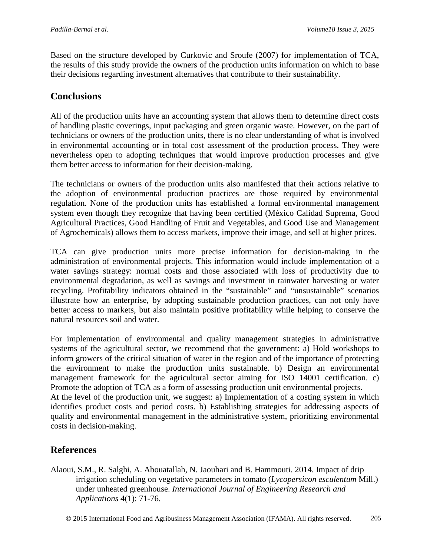Based on the structure developed by Curkovic and Sroufe (2007) for implementation of TCA, the results of this study provide the owners of the production units information on which to base their decisions regarding investment alternatives that contribute to their sustainability.

## **Conclusions**

All of the production units have an accounting system that allows them to determine direct costs of handling plastic coverings, input packaging and green organic waste. However, on the part of technicians or owners of the production units, there is no clear understanding of what is involved in environmental accounting or in total cost assessment of the production process. They were nevertheless open to adopting techniques that would improve production processes and give them better access to information for their decision-making.

The technicians or owners of the production units also manifested that their actions relative to the adoption of environmental production practices are those required by environmental regulation. None of the production units has established a formal environmental management system even though they recognize that having been certified (México Calidad Suprema, Good Agricultural Practices, Good Handling of Fruit and Vegetables, and Good Use and Management of Agrochemicals) allows them to access markets, improve their image, and sell at higher prices.

TCA can give production units more precise information for decision-making in the administration of environmental projects. This information would include implementation of a water savings strategy: normal costs and those associated with loss of productivity due to environmental degradation, as well as savings and investment in rainwater harvesting or water recycling. Profitability indicators obtained in the "sustainable" and "unsustainable" scenarios illustrate how an enterprise, by adopting sustainable production practices, can not only have better access to markets, but also maintain positive profitability while helping to conserve the natural resources soil and water.

For implementation of environmental and quality management strategies in administrative systems of the agricultural sector, we recommend that the government: a) Hold workshops to inform growers of the critical situation of water in the region and of the importance of protecting the environment to make the production units sustainable. b) Design an environmental management framework for the agricultural sector aiming for ISO 14001 certification. c) Promote the adoption of TCA as a form of assessing production unit environmental projects. At the level of the production unit, we suggest: a) Implementation of a costing system in which identifies product costs and period costs. b) Establishing strategies for addressing aspects of quality and environmental management in the administrative system, prioritizing environmental costs in decision-making.

# **References**

Alaoui, S.M., R. Salghi, A. Abouatallah, N. Jaouhari and B. Hammouti. 2014. Impact of drip irrigation scheduling on vegetative parameters in tomato (*Lycopersicon esculentum* Mill.) under unheated greenhouse. *International Journal of Engineering Research and Applications* 4(1): 71-76.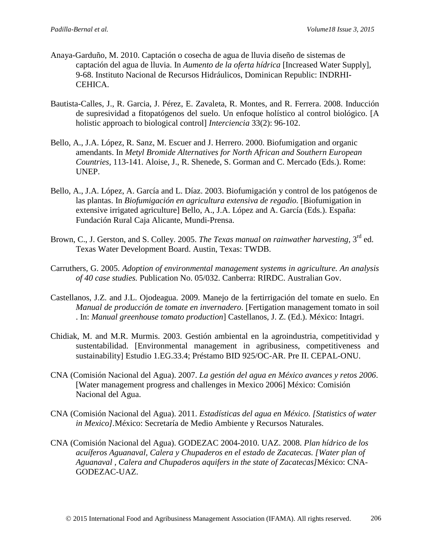- Anaya-Garduño, M. 2010. Captación o cosecha de agua de lluvia diseño de sistemas de captación del agua de lluvia. In *Aumento de la oferta hídrica* [Increased Water Supply]*,*  9-68. Instituto Nacional de Recursos Hidráulicos, Dominican Republic: INDRHI-CEHICA.
- Bautista-Calles, J., R. Garcia, J. Pérez, E. Zavaleta, R. Montes, and R. Ferrera. 2008. Inducción de supresividad a fitopatógenos del suelo. Un enfoque holístico al control biológico. [A holistic approach to biological control] *Interciencia* 33(2): 96-102.
- Bello, A., J.A. López, R. Sanz, M. Escuer and J. Herrero. 2000. Biofumigation and organic amendants. In *Metyl Bromide Alternatives for North African and Southern European Countries,* 113-141. Aloise, J., R. Shenede, S. Gorman and C. Mercado (Eds.). Rome: UNEP.
- Bello, A., J.A. López, A. García and L. Díaz. 2003. Biofumigación y control de los patógenos de las plantas. In *Biofumigación en agricultura extensiva de regadio*. [Biofumigation in extensive irrigated agriculture] Bello, A., J.A. López and A. García (Eds.). España: Fundación Rural Caja Alicante, Mundi-Prensa.
- Brown, C., J. Gerston, and S. Colley. 2005. *The Texas manual on rainwather harvesting*, 3<sup>rd</sup> ed. Texas Water Development Board. Austin, Texas: TWDB.
- Carruthers, G. 2005. *Adoption of environmental management systems in agriculture. An analysis of 40 case studies.* Publication No. 05/032. Canberra: RIRDC. Australian Gov.
- Castellanos, J.Z. and J.L. Ojodeagua. 2009. Manejo de la fertirrigación del tomate en suelo. En *Manual de producción de tomate en invernadero*. [Fertigation management tomato in soil . In: *Manual greenhouse tomato production*] Castellanos, J. Z. (Ed.). México: Intagri.
- Chidiak, M. and M.R. Murmis. 2003. Gestión ambiental en la agroindustria, competitividad y sustentabilidad. [Environmental management in agribusiness, competitiveness and sustainability] Estudio 1.EG.33.4; Préstamo BID 925/OC-AR. Pre II. CEPAL-ONU.
- CNA (Comisión Nacional del Agua). 2007. *La gestión del agua en México avances y retos 2006*. [Water management progress and challenges in Mexico 2006] México: Comisión Nacional del Agua.
- CNA (Comisión Nacional del Agua). 2011. *Estadísticas del agua en México. [Statistics of water in Mexico].*México: Secretaría de Medio Ambiente y Recursos Naturales.
- CNA (Comisión Nacional del Agua). GODEZAC 2004-2010. UAZ. 2008. *Plan hídrico de los acuíferos Aguanaval, Calera y Chupaderos en el estado de Zacatecas. [Water plan of Aguanaval , Calera and Chupaderos aquifers in the state of Zacatecas]*México: CNA-GODEZAC-UAZ.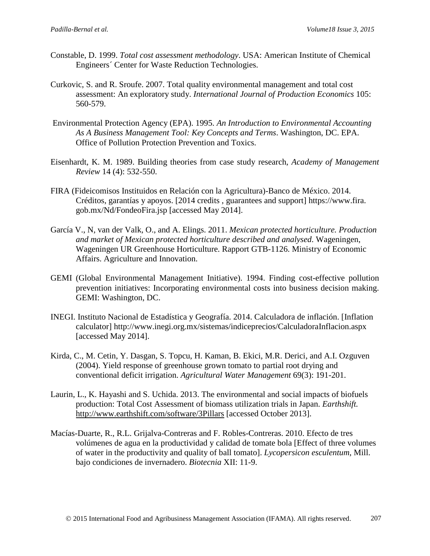- Constable, D. 1999. *Total cost assessment methodology*. USA: American Institute of Chemical Engineers´ Center for Waste Reduction Technologies.
- Curkovic, S. and R. Sroufe. 2007. Total quality environmental management and total cost assessment: An exploratory study. *International Journal of Production Economics* 105: 560-579.
- Environmental Protection Agency (EPA). 1995. *An Introduction to Environmental Accounting As A Business Management Tool: Key Concepts and Terms*. Washington, DC. EPA. Office of Pollution Protection Prevention and Toxics.
- Eisenhardt, K. M. 1989. Building theories from case study research, *Academy of Management Review* 14 (4): 532-550.
- FIRA (Fideicomisos Instituidos en Relación con la Agricultura)-Banco de México. 2014. Créditos, garantías y apoyos. [2014 credits , guarantees and support] https://www.fira. gob.mx/Nd/FondeoFira.jsp [accessed May 2014].
- García V., N, van der Valk, O., and A. Elings. 2011. *Mexican protected horticulture. Production and market of Mexican protected horticulture described and analysed*. Wageningen, Wageningen UR Greenhouse Horticulture. Rapport GTB-1126. Ministry of Economic Affairs. Agriculture and Innovation.
- GEMI (Global Environmental Management Initiative). 1994. Finding cost-effective pollution prevention initiatives: Incorporating environmental costs into business decision making. GEMI: Washington, DC.
- INEGI. Instituto Nacional de Estadística y Geografía. 2014. Calculadora de inflación. [Inflation calculator] http://www.inegi.org.mx/sistemas/indiceprecios/CalculadoraInflacion.aspx [accessed May 2014].
- Kirda, C., M. Cetin, Y. Dasgan, S. Topcu, H. Kaman, B. Ekici, M.R. Derici, and A.I. Ozguven (2004). Yield response of greenhouse grown tomato to partial root drying and conventional deficit irrigation. *Agricultural Water Management* 69(3): 191-201.
- Laurin, L., K. Hayashi and S. Uchida. 2013. The environmental and social impacts of biofuels production: Total Cost Assessment of biomass utilization trials in Japan. *Earthshift.* <http://www.earthshift.com/software/3Pillars> [accessed October 2013].
- Macías-Duarte, R., R.L. Grijalva-Contreras and F. Robles-Contreras. 2010. Efecto de tres volúmenes de agua en la productividad y calidad de tomate bola [Effect of three volumes of water in the productivity and quality of ball tomato]. *Lycopersicon esculentum*, Mill. bajo condiciones de invernadero. *Biotecnia* XII: 11-9.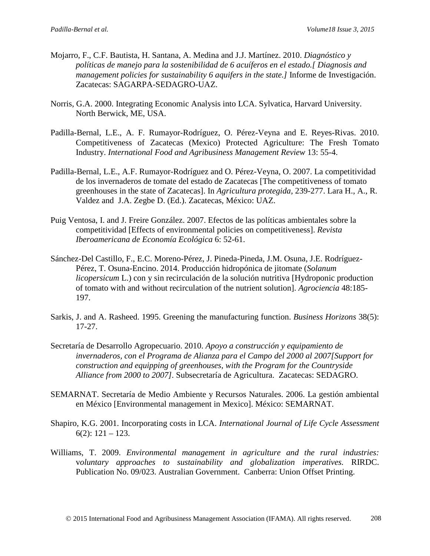- Mojarro, F., C.F. Bautista, H. Santana, A. Medina and J.J. Martínez. 2010. *Diagnóstico y políticas de manejo para la sostenibilidad de 6 acuíferos en el estado.[ Diagnosis and management policies for sustainability 6 aquifers in the state.]* Informe de Investigación. Zacatecas: SAGARPA-SEDAGRO-UAZ.
- Norris, G.A. 2000. Integrating Economic Analysis into LCA. Sylvatica, Harvard University. North Berwick, ME, USA.
- Padilla-Bernal, L.E., A. F. Rumayor-Rodríguez, O. Pérez-Veyna and E. Reyes-Rivas. 2010. Competitiveness of Zacatecas (Mexico) Protected Agriculture: The Fresh Tomato Industry. *International Food and Agribusiness Management Review* 13: 55-4.
- Padilla-Bernal, L.E., A.F. Rumayor-Rodríguez and O. Pérez-Veyna, O. 2007. La competitividad de los invernaderos de tomate del estado de Zacatecas [The competitiveness of tomato greenhouses in the state of Zacatecas]. In *Agricultura protegida,* 239-277. Lara H., A., R. Valdez and J.A. Zegbe D. (Ed.). Zacatecas, México: UAZ.
- Puig Ventosa, I. and J. Freire González. 2007. Efectos de las políticas ambientales sobre la competitividad [Effects of environmental policies on competitiveness]. *Revista Iberoamericana de Economía Ecológica* 6: 52-61.
- Sánchez-Del Castillo, F., E.C. Moreno-Pérez, J. Pineda-Pineda, J.M. Osuna, J.E. Rodríguez-Pérez, T. Osuna-Encino. 2014. Producción hidropónica de jitomate (*Solanum licopersicum* L.) con y sin recirculación de la solución nutritiva [Hydroponic production of tomato with and without recirculation of the nutrient solution]. *Agrociencia* 48:185- 197.
- Sarkis, J. and A. Rasheed. 1995. Greening the manufacturing function. *Business Horizons* 38(5): 17-27.
- Secretaría de Desarrollo Agropecuario. 2010. *Apoyo a construcción y equipamiento de invernaderos, con el Programa de Alianza para el Campo del 2000 al 2007[Support for construction and equipping of greenhouses, with the Program for the Countryside Alliance from 2000 to 2007].* Subsecretaría de Agricultura. Zacatecas: SEDAGRO.
- SEMARNAT. Secretaría de Medio Ambiente y Recursos Naturales. 2006. La gestión ambiental en México [Environmental management in Mexico]. México: SEMARNAT.
- Shapiro, K.G. 2001. Incorporating costs in LCA. *International Journal of Life Cycle Assessment*  $6(2): 121 - 123.$
- Williams, T. 2009. *Environmental management in agriculture and the rural industries:* v*oluntary approaches to sustainability and globalization imperatives.* RIRDC. Publication No. 09/023. Australian Government. Canberra: Union Offset Printing.